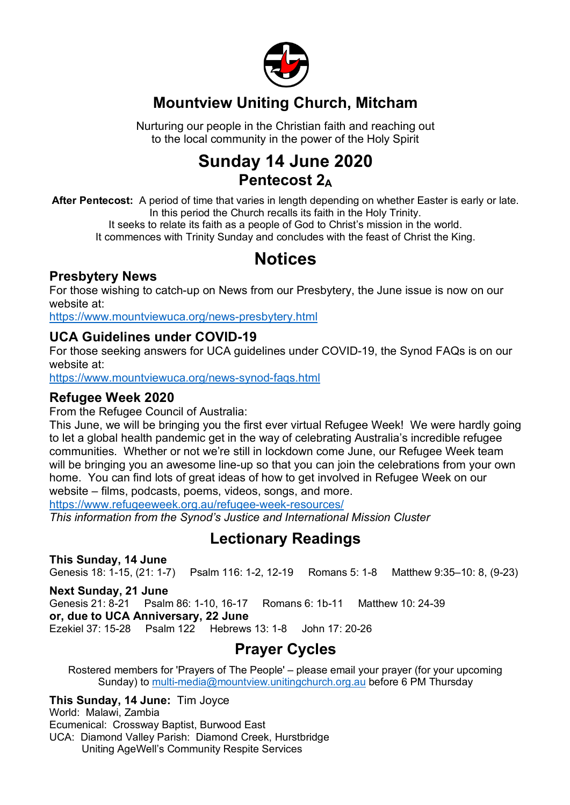

#### **Mountview Uniting Church, Mitcham**

Nurturing our people in the Christian faith and reaching out to the local community in the power of the Holy Spirit

### **Sunday 14 June 2020 Pentecost 2A**

**After Pentecost:** A period of time that varies in length depending on whether Easter is early or late. In this period the Church recalls its faith in the Holy Trinity.

It seeks to relate its faith as a people of God to Christ's mission in the world. It commences with Trinity Sunday and concludes with the feast of Christ the King.

# **Notices**

#### **Presbytery News**

For those wishing to catch-up on News from our Presbytery, the June issue is now on our website at:

https://www.mountviewuca.org/news-presbytery.html

#### **UCA Guidelines under COVID-19**

For those seeking answers for UCA guidelines under COVID-19, the Synod FAQs is on our website at:

https://www.mountviewuca.org/news-synod-faqs.html

#### **Refugee Week 2020**

From the Refugee Council of Australia:

This June, we will be bringing you the first ever virtual Refugee Week! We were hardly going to let a global health pandemic get in the way of celebrating Australia's incredible refugee communities. Whether or not we're still in lockdown come June, our Refugee Week team will be bringing you an awesome line-up so that you can join the celebrations from your own home. You can find lots of great ideas of how to get involved in Refugee Week on our website – films, podcasts, poems, videos, songs, and more.

https://www.refugeeweek.org.au/refugee-week-resources/

*This information from the Synod's Justice and International Mission Cluster*

#### **Lectionary Readings**

**This Sunday, 14 June** Genesis 18: 1-15, (21: 1-7) Psalm 116: 1-2, 12-19 Romans 5: 1-8 Matthew 9:35–10: 8, (9-23)

**Next Sunday, 21 June** Genesis 21: 8-21 Psalm 86: 1-10, 16-17 Romans 6: 1b-11 Matthew 10: 24-39 **or, due to UCA Anniversary, 22 June** Ezekiel 37: 15-28 Psalm 122 Hebrews 13: 1-8 John 17: 20-26

### **Prayer Cycles**

Rostered members for 'Prayers of The People' – please email your prayer (for your upcoming Sunday) to multi-media@mountview.unitingchurch.org.au before 6 PM Thursday

**This Sunday, 14 June:** Tim Joyce World: Malawi, Zambia Ecumenical: Crossway Baptist, Burwood East UCA: Diamond Valley Parish: Diamond Creek, Hurstbridge Uniting AgeWell's Community Respite Services